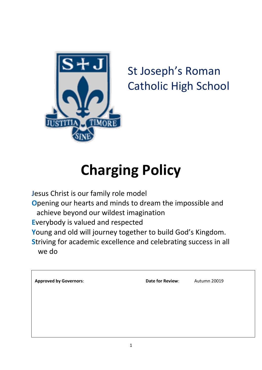

# St Joseph's Roman Catholic High School

# **Charging Policy**

**J**esus Christ is our family role model **O**pening our hearts and minds to dream the impossible and achieve beyond our wildest imagination **E**verybody is valued and respected **Y**oung and old will journey together to build God's Kingdom. **S**triving for academic excellence and celebrating success in all we do

| <b>Approved by Governors:</b> | Date for Review: | Autumn 20019 |
|-------------------------------|------------------|--------------|
|                               |                  |              |
|                               |                  |              |
|                               |                  |              |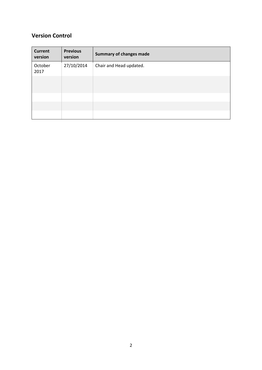# **Version Control**

| <b>Current</b><br>version | <b>Previous</b><br>version | <b>Summary of changes made</b> |
|---------------------------|----------------------------|--------------------------------|
| October<br>2017           | 27/10/2014                 | Chair and Head updated.        |
|                           |                            |                                |
|                           |                            |                                |
|                           |                            |                                |
|                           |                            |                                |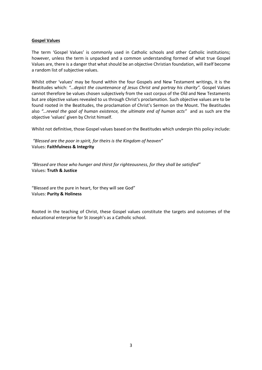#### **Gospel Values**

The term 'Gospel Values' is commonly used in Catholic schools and other Catholic institutions; however, unless the term is unpacked and a common understanding formed of what true Gospel Values are, there is a danger that what should be an objective Christian foundation, will itself become a random list of subjective values.

Whilst other 'values' may be found within the four Gospels and New Testament writings, it is the Beatitudes which: *"…depict the countenance of Jesus Christ and portray his charity".* Gospel Values cannot therefore be values chosen subjectively from the vast corpus of the Old and New Testaments but are objective values revealed to us through Christ's proclamation. Such objective values are to be found rooted in the Beatitudes, the proclamation of Christ's Sermon on the Mount. The Beatitudes also *"…reveal the goal of human existence, the ultimate end of human acts"* and as such are the objective 'values' given by Christ himself.

Whilst not definitive, those Gospel values based on the Beatitudes which underpin this policy include:

*"Blessed are the poor in spirit, for theirs is the Kingdom of heaven"*  Values: **Faithfulness & Integrity**

*"Blessed are those who hunger and thirst for righteousness, for they shall be satisfied"* Values: **Truth & Justice**

"Blessed are the pure in heart, for they will see God" Values: **Purity & Holiness**

Rooted in the teaching of Christ, these Gospel values constitute the targets and outcomes of the educational enterprise for St Joseph's as a Catholic school.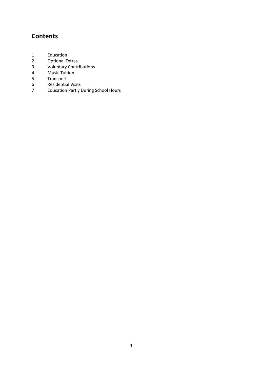# **Contents**

- 1 Education
- 2 Optional Extras<br>3 Voluntary Contr
- 3 Voluntary Contributions<br>4 Music Tuition
- 4 Music Tuition<br>5 Transport
- 
- 5 Transport<br>6 Residentia 6 Residential Visits<br>7 Education Partly I
- 7 Education Partly During School Hours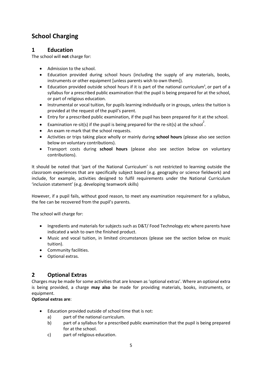# **School Charging**

#### **1 Education**

The school will **not** charge for:

- Admission to the school.
- Education provided during school hours (including the supply of any materials, books, instruments or other equipment [unless parents wish to own them]).
- $\bullet$  Education provided outside school hours if it is part of the national curriculum<sup>1</sup>, or part of a syllabus for a prescribed public examination that the pupil is being prepared for at the school, or part of religious education.
- Instrumental or vocal tuition, for pupils learning individually or in groups, unless the tuition is provided at the request of the pupil's parent.
- Entry for a prescribed public examination, if the pupil has been prepared for it at the school.
- Examination re-sit(s) if the pupil is being prepared for the re-sit(s) at the school<sup>2</sup>.
- An exam re-mark that the school requests.
- Activities or trips taking place wholly or mainly during **school hours** (please also see section below on voluntary contributions).
- Transport costs during **school hours** (please also see section below on voluntary contributions).

It should be noted that 'part of the National Curriculum' is not restricted to learning outside the classroom experiences that are specifically subject based (e.g. geography or science fieldwork) and include, for example, activities designed to fulfil requirements under the National Curriculum 'inclusion statement' (e.g. developing teamwork skills)

However, if a pupil fails, without good reason, to meet any examination requirement for a syllabus, the fee can be recovered from the pupil's parents.

The school will charge for:

- Ingredients and materials for subjects such as D&T/Food Technology etc where parents have indicated a wish to own the finished product.
- Music and vocal tuition, in limited circumstances (please see the section below on music tuition).
- Community facilities.
- Optional extras.

# **2 Optional Extras**

Charges may be made for some activities that are known as 'optional extras'. Where an optional extra is being provided, a charge **may also** be made for providing materials, books, instruments, or equipment.

#### **Optional extras are**:

- Education provided outside of school time that is not:
	- a) part of the national curriculum.
	- b) part of a syllabus for a prescribed public examination that the pupil is being prepared for at the school.
	- c) part of religious education.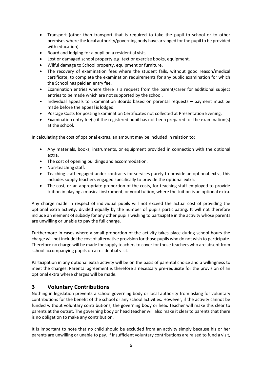- Transport (other than transport that is required to take the pupil to school or to other premises where the local authority/governing body have arranged for the pupil to be provided with education).
- Board and lodging for a pupil on a residential visit.
- Lost or damaged school property e.g. text or exercise books, equipment.
- Wilful damage to School property, equipment or furniture.
- The recovery of examination fees where the student fails, without good reason/medical certificate, to complete the examination requirements for any public examination for which the School has paid an entry fee.
- Examination entries where there is a request from the parent/carer for additional subject entries to be made which are not supported by the school.
- Individual appeals to Examination Boards based on parental requests payment must be made before the appeal is lodged.
- Postage Costs for posting Examination Certificates not collected at Presentation Evening.
- Examination entry fee(s) if the registered pupil has not been prepared for the examination(s) at the school.

In calculating the cost of optional extras, an amount may be included in relation to:

- Any materials, books, instruments, or equipment provided in connection with the optional extra.
- The cost of opening buildings and accommodation.
- Non-teaching staff.
- Teaching staff engaged under contracts for services purely to provide an optional extra, this includes supply teachers engaged specifically to provide the optional extra.
- The cost, or an appropriate proportion of the costs, for teaching staff employed to provide tuition in playing a musical instrument, or vocal tuition, where the tuition is an optional extra.

Any charge made in respect of individual pupils will not exceed the actual cost of providing the optional extra activity, divided equally by the number of pupils participating. It will not therefore include an element of subsidy for any other pupils wishing to participate in the activity whose parents are unwilling or unable to pay the full charge.

Furthermore in cases where a small proportion of the activity takes place during school hours the charge will not include the cost of alternative provision for those pupils who do not wish to participate. Therefore no charge will be made for supply teachers to cover for those teachers who are absent from school accompanying pupils on a residential visit.

Participation in any optional extra activity will be on the basis of parental choice and a willingness to meet the charges. Parental agreement is therefore a necessary pre-requisite for the provision of an optional extra where charges will be made.

#### **3 Voluntary Contributions**

Nothing in legislation prevents a school governing body or local authority from asking for voluntary contributions for the benefit of the school or any school activities. However, if the activity cannot be funded without voluntary contributions, the governing body or head teacher will make this clear to parents at the outset. The governing body or head teacher will also make it clear to parents that there is no obligation to make any contribution.

It is important to note that no child should be excluded from an activity simply because his or her parents are unwilling or unable to pay. If insufficient voluntary contributions are raised to fund a visit,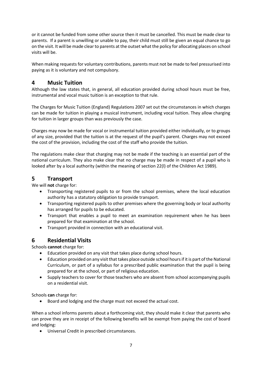or it cannot be funded from some other source then it must be cancelled. This must be made clear to parents. If a parent is unwilling or unable to pay, their child must still be given an equal chance to go on the visit. It will be made clear to parents at the outset what the policy for allocating places on school visits will be.

When making requests for voluntary contributions, parents must not be made to feel pressurised into paying as it is voluntary and not compulsory.

# **4 Music Tuition**

Although the law states that, in general, all education provided during school hours must be free, instrumental and vocal music tuition is an exception to that rule.

The Charges for Music Tuition (England) Regulations 2007 set out the circumstances in which charges can be made for tuition in playing a musical instrument, including vocal tuition. They allow charging for tuition in larger groups than was previously the case.

Charges may now be made for vocal or instrumental tuition provided either individually, or to groups of any size, provided that the tuition is at the request of the pupil's parent. Charges may not exceed the cost of the provision, including the cost of the staff who provide the tuition.

The regulations make clear that charging may not be made if the teaching is an essential part of the national curriculum. They also make clear that no charge may be made in respect of a pupil who is looked after by a local authority (within the meaning of section 22(l) of the Children Act 1989).

### **5 Transport**

We will **not** charge for:

- Transporting registered pupils to or from the school premises, where the local education authority has a statutory obligation to provide transport.
- Transporting registered pupils to other premises where the governing body or local authority has arranged for pupils to be educated.
- Transport that enables a pupil to meet an examination requirement when he has been prepared for that examination at the school.
- Transport provided in connection with an educational visit.

#### **6 Residential Visits**

Schools **cannot** charge for:

- Education provided on any visit that takes place during school hours.
- Education provided on any visit that takes place outside school hours if it is part of the National Curriculum, or part of a syllabus for a prescribed public examination that the pupil is being prepared for at the school, or part of religious education.
- Supply teachers to cover for those teachers who are absent from school accompanying pupils on a residential visit.

Schools **can** charge for:

Board and lodging and the charge must not exceed the actual cost.

When a school informs parents about a forthcoming visit, they should make it clear that parents who can prove they are in receipt of the following benefits will be exempt from paying the cost of board and lodging:

Universal Credit in prescribed circumstances.